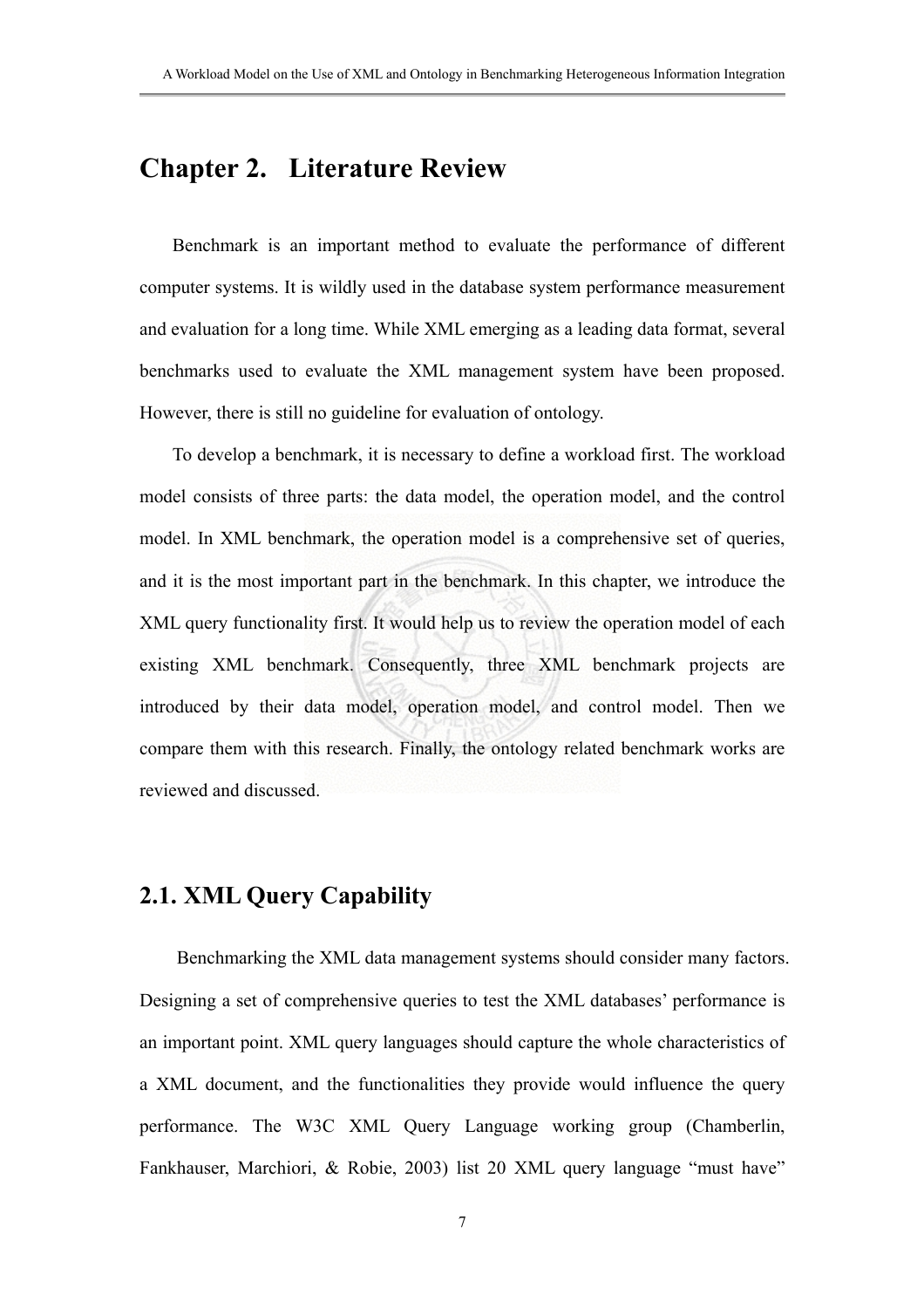# **Chapter 2. Literature Review**

Benchmark is an important method to evaluate the performance of different computer systems. It is wildly used in the database system performance measurement and evaluation for a long time. While XML emerging as a leading data format, several benchmarks used to evaluate the XML management system have been proposed. However, there is still no guideline for evaluation of ontology.

To develop a benchmark, it is necessary to define a workload first. The workload model consists of three parts: the data model, the operation model, and the control model. In XML benchmark, the operation model is a comprehensive set of queries, and it is the most important part in the benchmark. In this chapter, we introduce the XML query functionality first. It would help us to review the operation model of each existing XML benchmark. Consequently, three XML benchmark projects are introduced by their data model, operation model, and control model. Then we compare them with this research. Finally, the ontology related benchmark works are reviewed and discussed.

# **2.1. XML Query Capability**

Benchmarking the XML data management systems should consider many factors. Designing a set of comprehensive queries to test the XML databases' performance is an important point. XML query languages should capture the whole characteristics of a XML document, and the functionalities they provide would influence the query performance. The W3C XML Query Language working group (Chamberlin, Fankhauser, Marchiori, & Robie, 2003) list 20 XML query language "must have"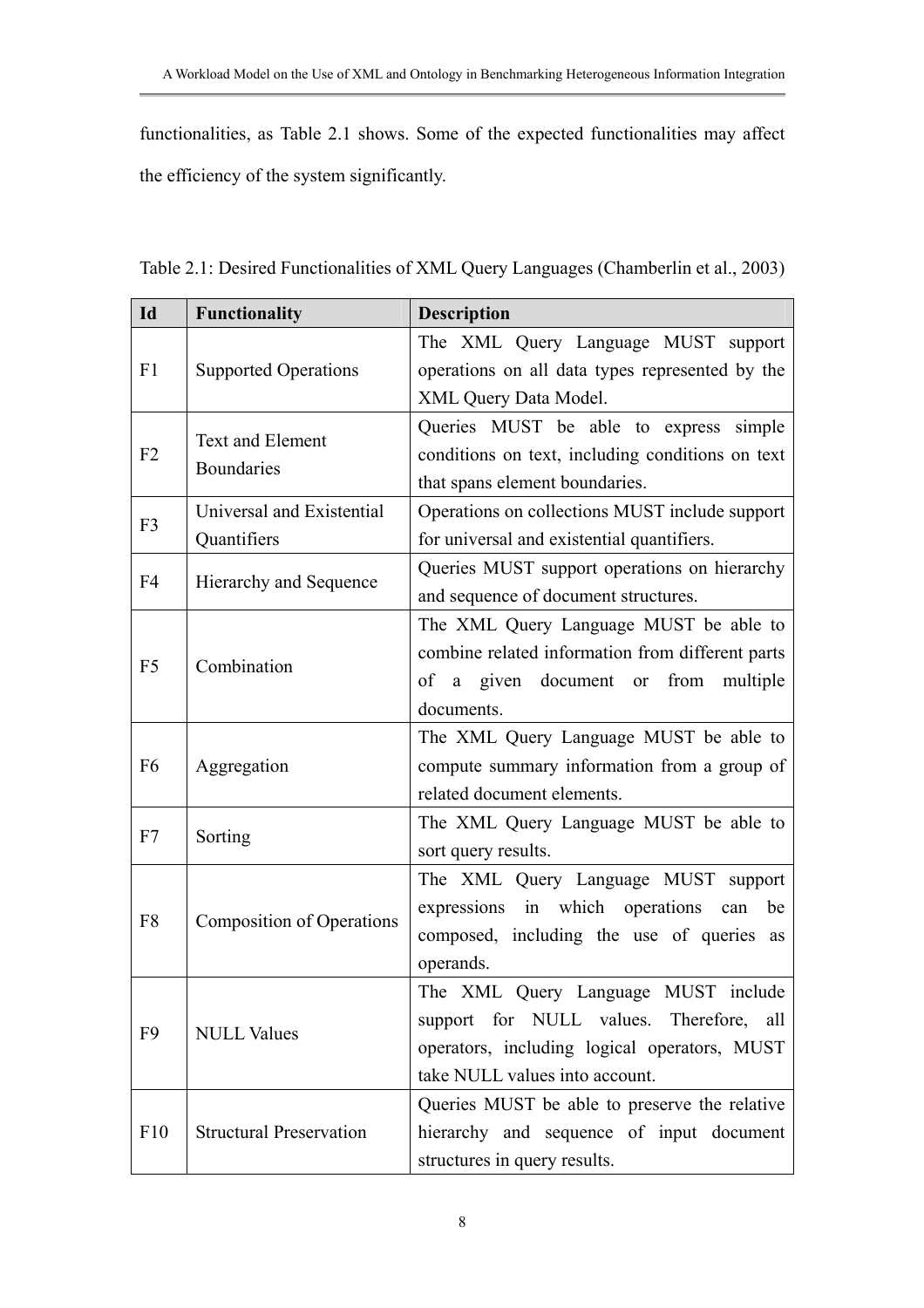functionalities, as Table 2.1 shows. Some of the expected functionalities may affect the efficiency of the system significantly.

| Id             | Functionality                    | <b>Description</b>                               |
|----------------|----------------------------------|--------------------------------------------------|
|                | <b>Supported Operations</b>      | The XML Query Language MUST support              |
| F1             |                                  | operations on all data types represented by the  |
|                |                                  | XML Query Data Model.                            |
|                | Text and Element                 | Queries MUST be able to express simple           |
| F2             | Boundaries                       | conditions on text, including conditions on text |
|                |                                  | that spans element boundaries.                   |
| F <sub>3</sub> | Universal and Existential        | Operations on collections MUST include support   |
|                | Quantifiers                      | for universal and existential quantifiers.       |
| F <sub>4</sub> |                                  | Queries MUST support operations on hierarchy     |
|                | Hierarchy and Sequence           | and sequence of document structures.             |
|                |                                  | The XML Query Language MUST be able to           |
| F <sub>5</sub> | Combination                      | combine related information from different parts |
|                |                                  | of a given document or from multiple             |
|                |                                  | documents.                                       |
|                |                                  | The XML Query Language MUST be able to           |
| F <sub>6</sub> | Aggregation                      | compute summary information from a group of      |
|                |                                  | related document elements.                       |
| F7             | Sorting                          | The XML Query Language MUST be able to           |
|                |                                  | sort query results.                              |
|                |                                  | The XML Query Language MUST support              |
| F <sub>8</sub> | <b>Composition of Operations</b> | expressions in which operations<br>can<br>be     |
|                |                                  | composed, including the use of queries as        |
|                |                                  | operands.                                        |
|                |                                  | The XML Query Language MUST include              |
| F <sub>9</sub> | <b>NULL Values</b>               | support for NULL values. Therefore, all          |
|                |                                  | operators, including logical operators, MUST     |
|                |                                  | take NULL values into account.                   |
|                |                                  | Queries MUST be able to preserve the relative    |
| F10            | <b>Structural Preservation</b>   | hierarchy and sequence of input document         |
|                |                                  | structures in query results.                     |

Table 2.1: Desired Functionalities of XML Query Languages (Chamberlin et al., 2003)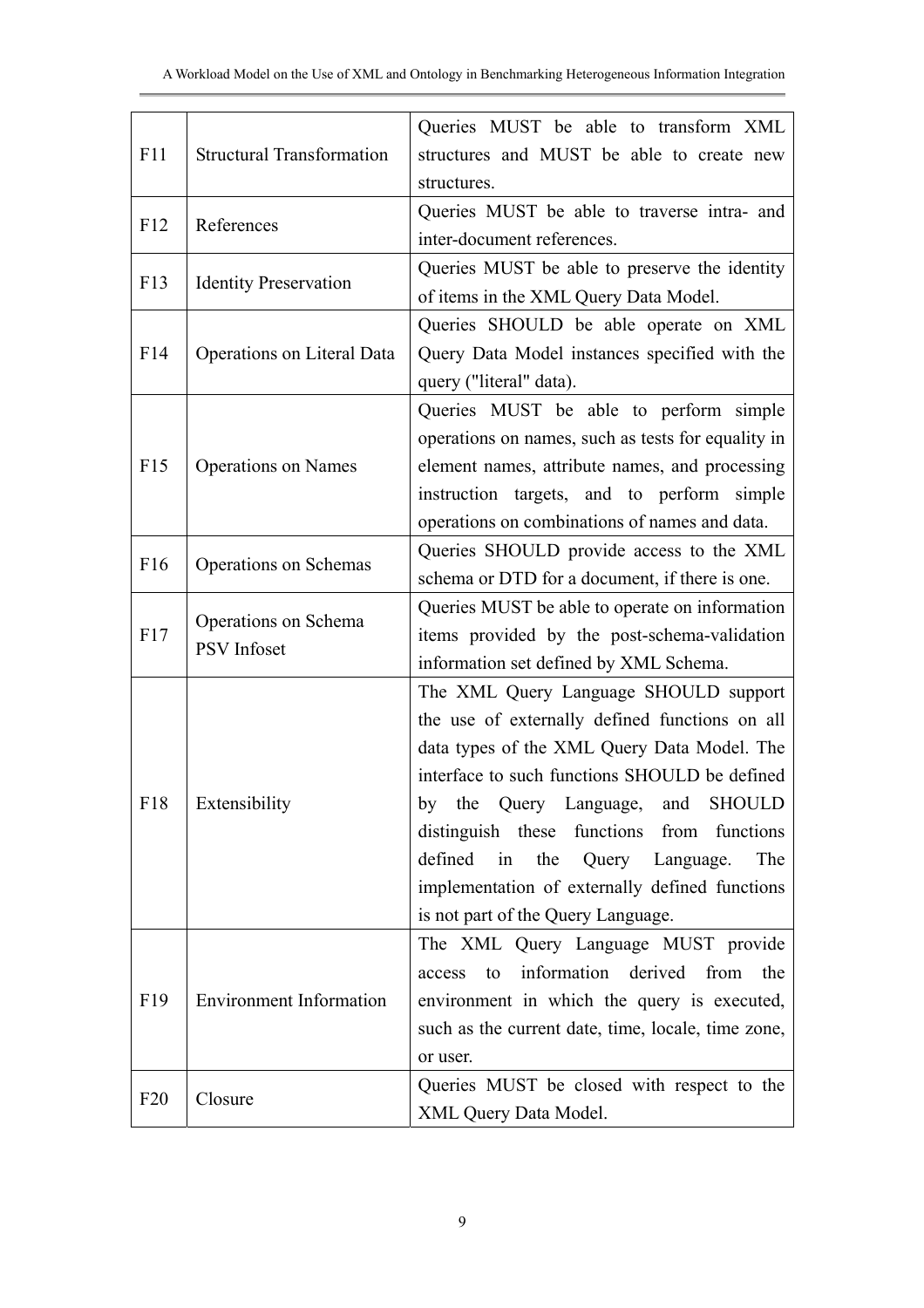| F11             | <b>Structural Transformation</b>                                                                                                                | Queries MUST be able to transform XML<br>structures and MUST be able to create new<br>structures.                                                                                                                                                                                                                                                                                                                    |
|-----------------|-------------------------------------------------------------------------------------------------------------------------------------------------|----------------------------------------------------------------------------------------------------------------------------------------------------------------------------------------------------------------------------------------------------------------------------------------------------------------------------------------------------------------------------------------------------------------------|
| F12             | References                                                                                                                                      | Queries MUST be able to traverse intra- and<br>inter-document references.                                                                                                                                                                                                                                                                                                                                            |
| F13             | <b>Identity Preservation</b>                                                                                                                    | Queries MUST be able to preserve the identity<br>of items in the XML Query Data Model.                                                                                                                                                                                                                                                                                                                               |
| F14             | Queries SHOULD be able operate on XML<br>Operations on Literal Data<br>Query Data Model instances specified with the<br>query ("literal" data). |                                                                                                                                                                                                                                                                                                                                                                                                                      |
| F15             | <b>Operations on Names</b>                                                                                                                      | Queries MUST be able to perform simple<br>operations on names, such as tests for equality in<br>element names, attribute names, and processing<br>instruction targets, and to perform simple<br>operations on combinations of names and data.                                                                                                                                                                        |
| F16             | Operations on Schemas                                                                                                                           | Queries SHOULD provide access to the XML<br>schema or DTD for a document, if there is one.                                                                                                                                                                                                                                                                                                                           |
| F17             | Operations on Schema<br>PSV Infoset                                                                                                             | Queries MUST be able to operate on information<br>items provided by the post-schema-validation<br>information set defined by XML Schema.                                                                                                                                                                                                                                                                             |
| F18             | Extensibility                                                                                                                                   | The XML Query Language SHOULD support<br>the use of externally defined functions on all<br>data types of the XML Query Data Model. The<br>interface to such functions SHOULD be defined<br>by the Query Language, and SHOULD<br>distinguish these functions from functions<br>defined<br>in<br>the<br>Query Language.<br>The<br>implementation of externally defined functions<br>is not part of the Query Language. |
| F <sub>19</sub> | <b>Environment Information</b>                                                                                                                  | The XML Query Language MUST provide<br>information derived from<br>the<br>to<br>access<br>environment in which the query is executed,<br>such as the current date, time, locale, time zone,<br>or user.                                                                                                                                                                                                              |
| F20             | Closure                                                                                                                                         | Queries MUST be closed with respect to the<br>XML Query Data Model.                                                                                                                                                                                                                                                                                                                                                  |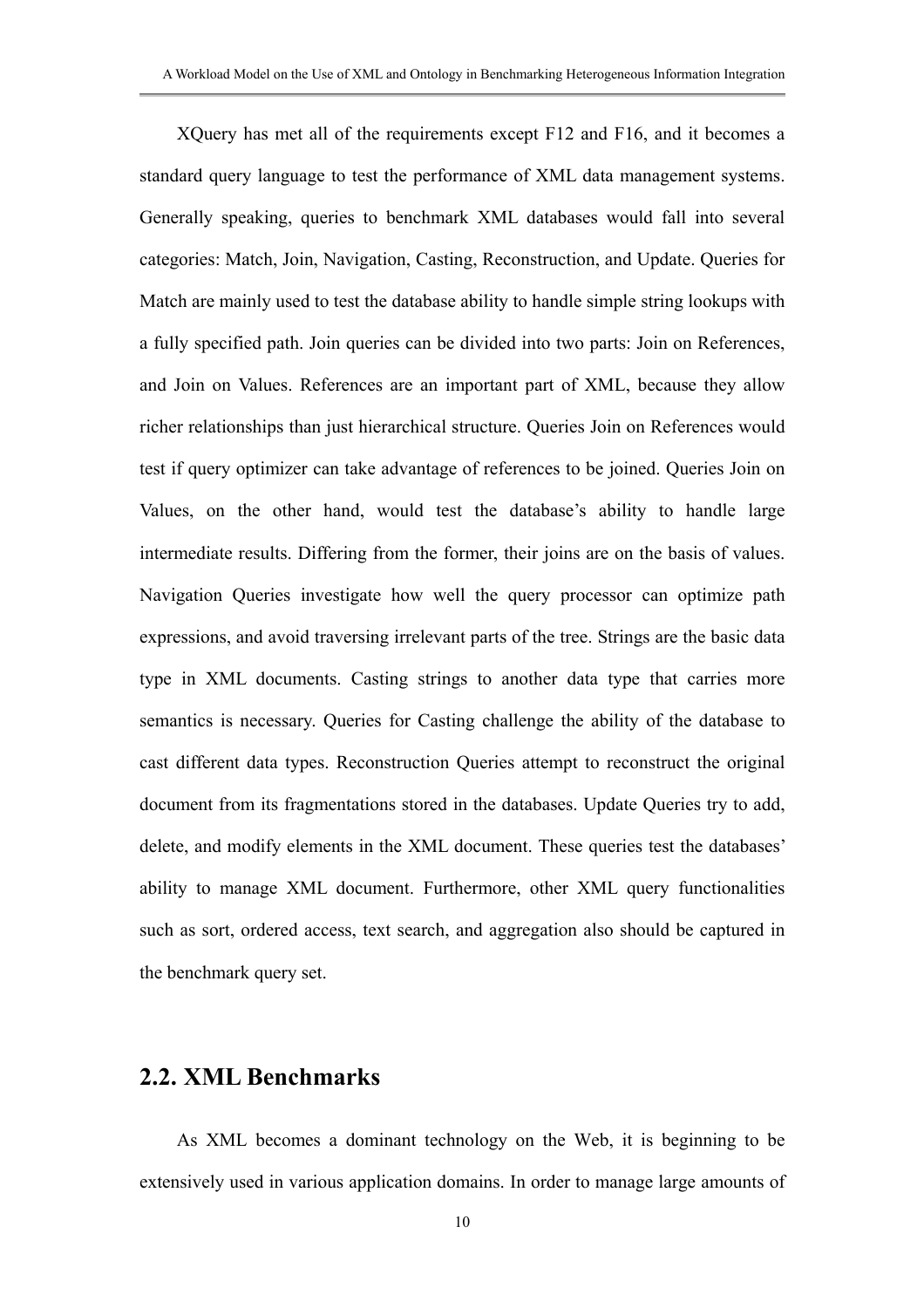XQuery has met all of the requirements except F12 and F16, and it becomes a standard query language to test the performance of XML data management systems. Generally speaking, queries to benchmark XML databases would fall into several categories: Match, Join, Navigation, Casting, Reconstruction, and Update. Queries for Match are mainly used to test the database ability to handle simple string lookups with a fully specified path. Join queries can be divided into two parts: Join on References, and Join on Values. References are an important part of XML, because they allow richer relationships than just hierarchical structure. Queries Join on References would test if query optimizer can take advantage of references to be joined. Queries Join on Values, on the other hand, would test the database's ability to handle large intermediate results. Differing from the former, their joins are on the basis of values. Navigation Queries investigate how well the query processor can optimize path expressions, and avoid traversing irrelevant parts of the tree. Strings are the basic data type in XML documents. Casting strings to another data type that carries more semantics is necessary. Queries for Casting challenge the ability of the database to cast different data types. Reconstruction Queries attempt to reconstruct the original document from its fragmentations stored in the databases. Update Queries try to add, delete, and modify elements in the XML document. These queries test the databases' ability to manage XML document. Furthermore, other XML query functionalities such as sort, ordered access, text search, and aggregation also should be captured in the benchmark query set.

### **2.2. XML Benchmarks**

As XML becomes a dominant technology on the Web, it is beginning to be extensively used in various application domains. In order to manage large amounts of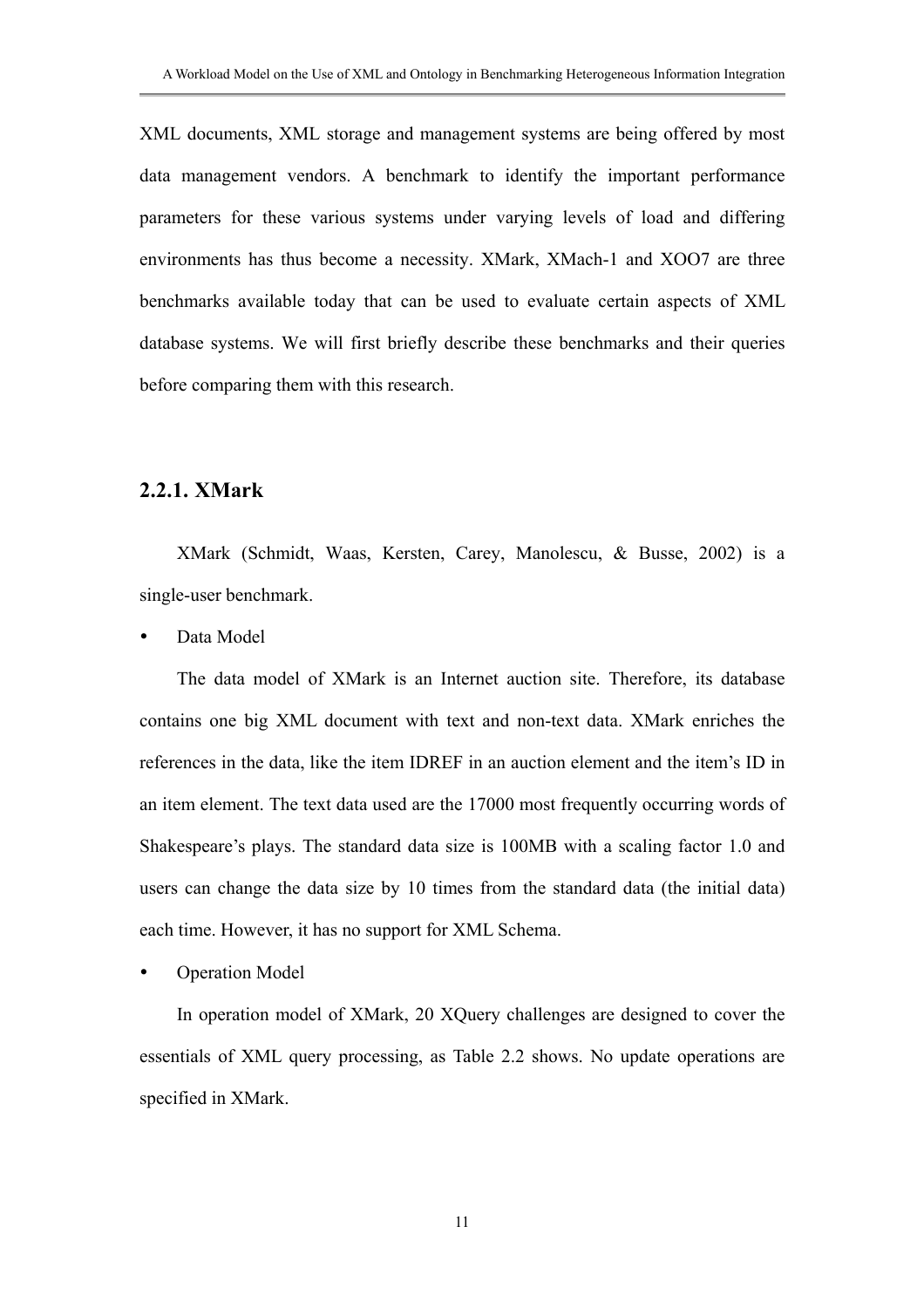XML documents, XML storage and management systems are being offered by most data management vendors. A benchmark to identify the important performance parameters for these various systems under varying levels of load and differing environments has thus become a necessity. XMark, XMach-1 and XOO7 are three benchmarks available today that can be used to evaluate certain aspects of XML database systems. We will first briefly describe these benchmarks and their queries before comparing them with this research.

#### **2.2.1. XMark**

XMark (Schmidt, Waas, Kersten, Carey, Manolescu, & Busse, 2002) is a single-user benchmark.

Data Model

The data model of XMark is an Internet auction site. Therefore, its database contains one big XML document with text and non-text data. XMark enriches the references in the data, like the item IDREF in an auction element and the item's ID in an item element. The text data used are the 17000 most frequently occurring words of Shakespeare's plays. The standard data size is 100MB with a scaling factor 1.0 and users can change the data size by 10 times from the standard data (the initial data) each time. However, it has no support for XML Schema.

**Operation Model** 

In operation model of XMark, 20 XQuery challenges are designed to cover the essentials of XML query processing, as Table 2.2 shows. No update operations are specified in XMark.

11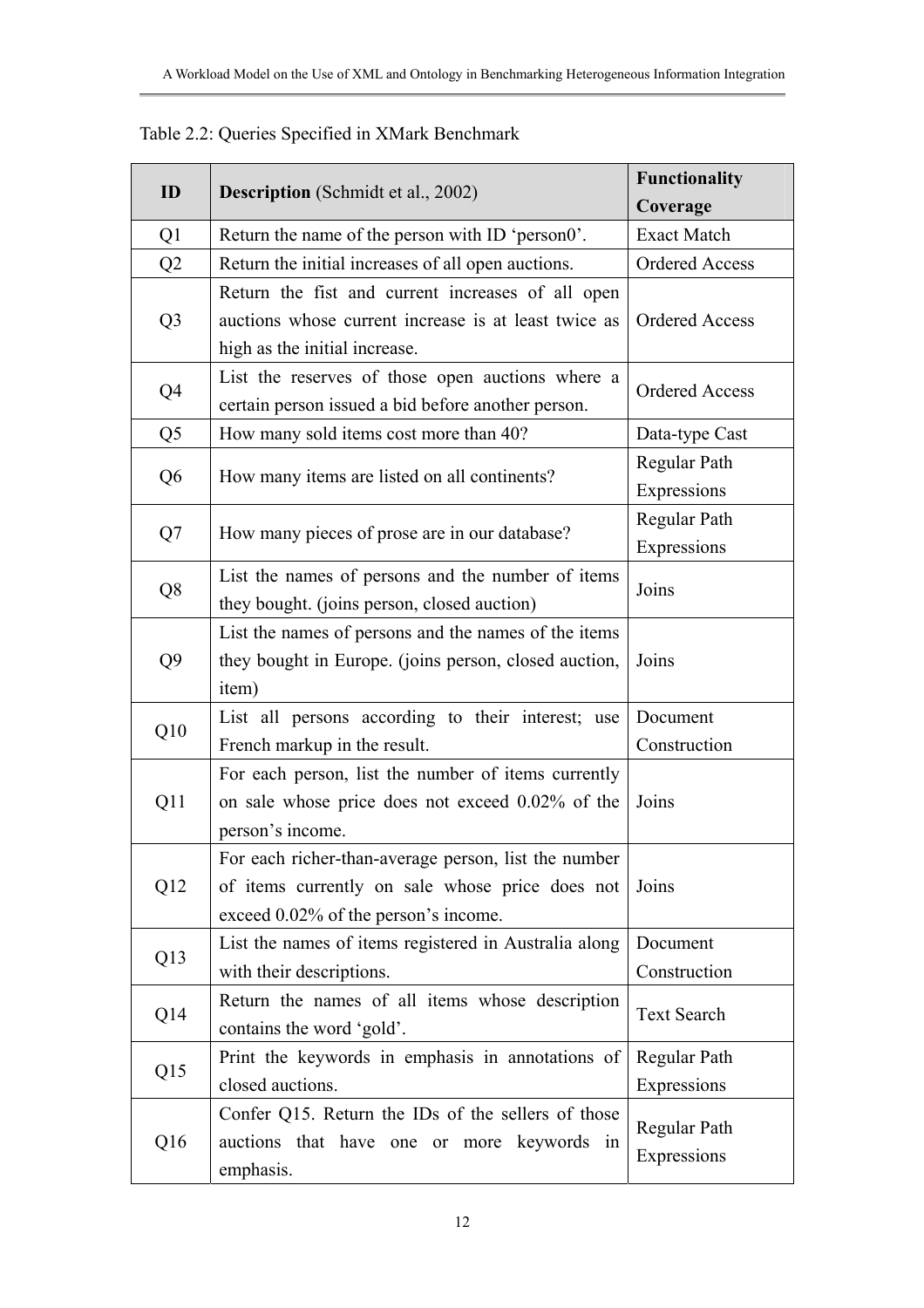| ID              | <b>Description</b> (Schmidt et al., 2002)                                                                                                       | <b>Functionality</b><br>Coverage |
|-----------------|-------------------------------------------------------------------------------------------------------------------------------------------------|----------------------------------|
| Q1              | Return the name of the person with ID 'person0'.                                                                                                | <b>Exact Match</b>               |
| Q2              | Return the initial increases of all open auctions.                                                                                              | <b>Ordered Access</b>            |
| Q <sub>3</sub>  | Return the fist and current increases of all open<br>auctions whose current increase is at least twice as<br>high as the initial increase.      | <b>Ordered Access</b>            |
| Q4              | List the reserves of those open auctions where a<br>certain person issued a bid before another person.                                          | <b>Ordered Access</b>            |
| Q <sub>5</sub>  | How many sold items cost more than 40?                                                                                                          | Data-type Cast                   |
| Q <sub>6</sub>  | How many items are listed on all continents?                                                                                                    | Regular Path<br>Expressions      |
| Q7              | How many pieces of prose are in our database?                                                                                                   | Regular Path<br>Expressions      |
| Q8              | List the names of persons and the number of items<br>they bought. (joins person, closed auction)                                                | Joins                            |
| Q <sub>9</sub>  | List the names of persons and the names of the items<br>they bought in Europe. (joins person, closed auction,<br>item)                          | Joins                            |
| Q10             | List all persons according to their interest; use<br>French markup in the result.                                                               | Document<br>Construction         |
| Q11             | For each person, list the number of items currently<br>on sale whose price does not exceed 0.02% of the<br>person's income.                     | Joins                            |
| Q12             | For each richer-than-average person, list the number<br>of items currently on sale whose price does not<br>exceed 0.02% of the person's income. | Joins                            |
| Q13             | List the names of items registered in Australia along<br>with their descriptions.                                                               | Document<br>Construction         |
| Q14             | Return the names of all items whose description<br>contains the word 'gold'.                                                                    | <b>Text Search</b>               |
| Q15             | Print the keywords in emphasis in annotations of<br>closed auctions.                                                                            | Regular Path<br>Expressions      |
| Q <sub>16</sub> | Confer Q15. Return the IDs of the sellers of those<br>auctions that have one or more keywords in<br>emphasis.                                   | Regular Path<br>Expressions      |

Table 2.2: Queries Specified in XMark Benchmark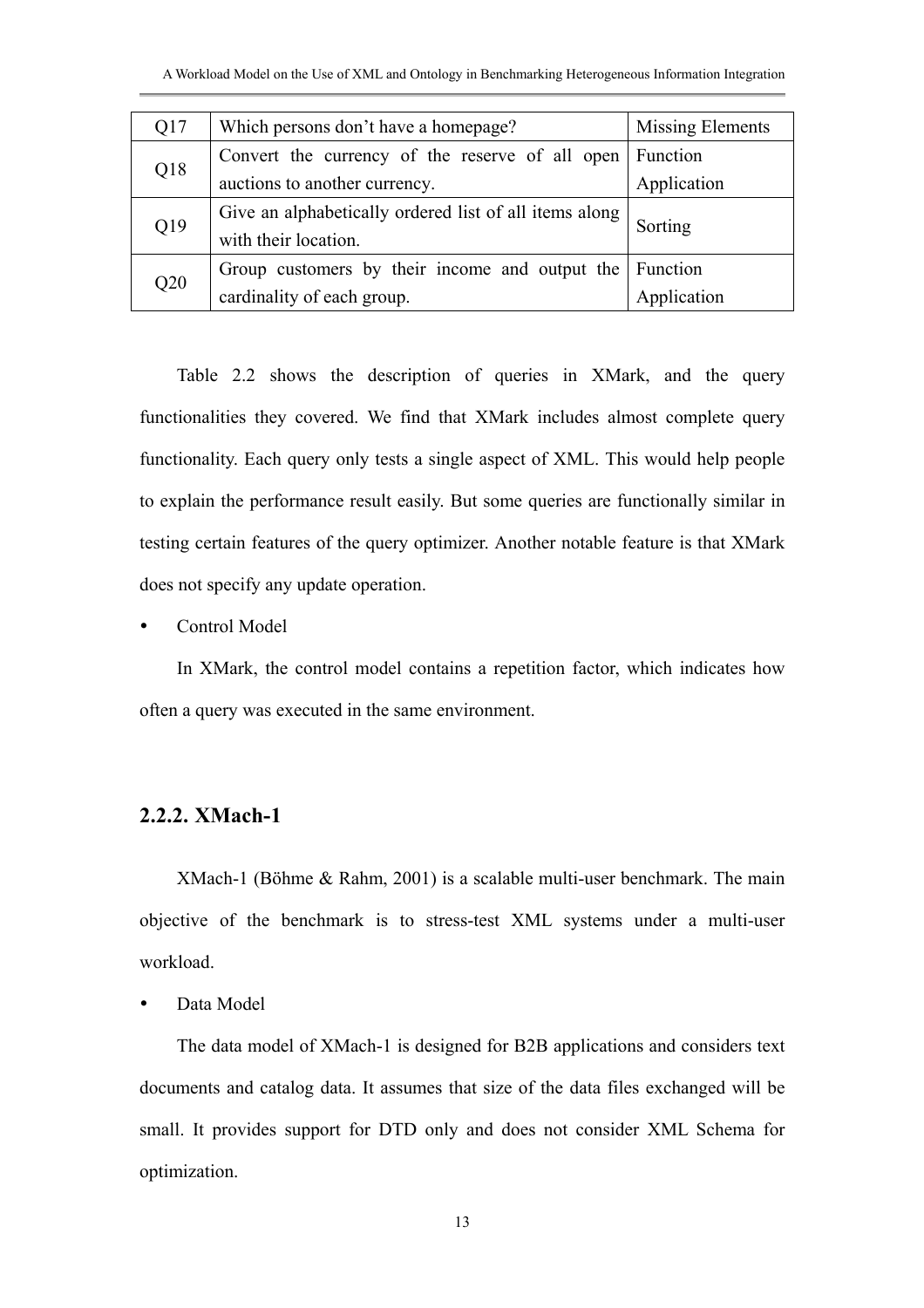| Q17 | Which persons don't have a homepage?                                           | Missing Elements |
|-----|--------------------------------------------------------------------------------|------------------|
|     | Convert the currency of the reserve of all open                                | Function         |
| Q18 | auctions to another currency.                                                  | Application      |
| Q19 | Give an alphabetically ordered list of all items along<br>with their location. | Sorting          |
|     | Group customers by their income and output the                                 | Function         |
| Q20 | cardinality of each group.                                                     | Application      |

Table 2.2 shows the description of queries in XMark, and the query functionalities they covered. We find that XMark includes almost complete query functionality. Each query only tests a single aspect of XML. This would help people to explain the performance result easily. But some queries are functionally similar in testing certain features of the query optimizer. Another notable feature is that XMark does not specify any update operation.

Control Model

In XMark, the control model contains a repetition factor, which indicates how often a query was executed in the same environment.

### **2.2.2. XMach-1**

XMach-1 (Böhme & Rahm, 2001) is a scalable multi-user benchmark. The main objective of the benchmark is to stress-test XML systems under a multi-user workload.

Data Model

The data model of XMach-1 is designed for B2B applications and considers text documents and catalog data. It assumes that size of the data files exchanged will be small. It provides support for DTD only and does not consider XML Schema for optimization.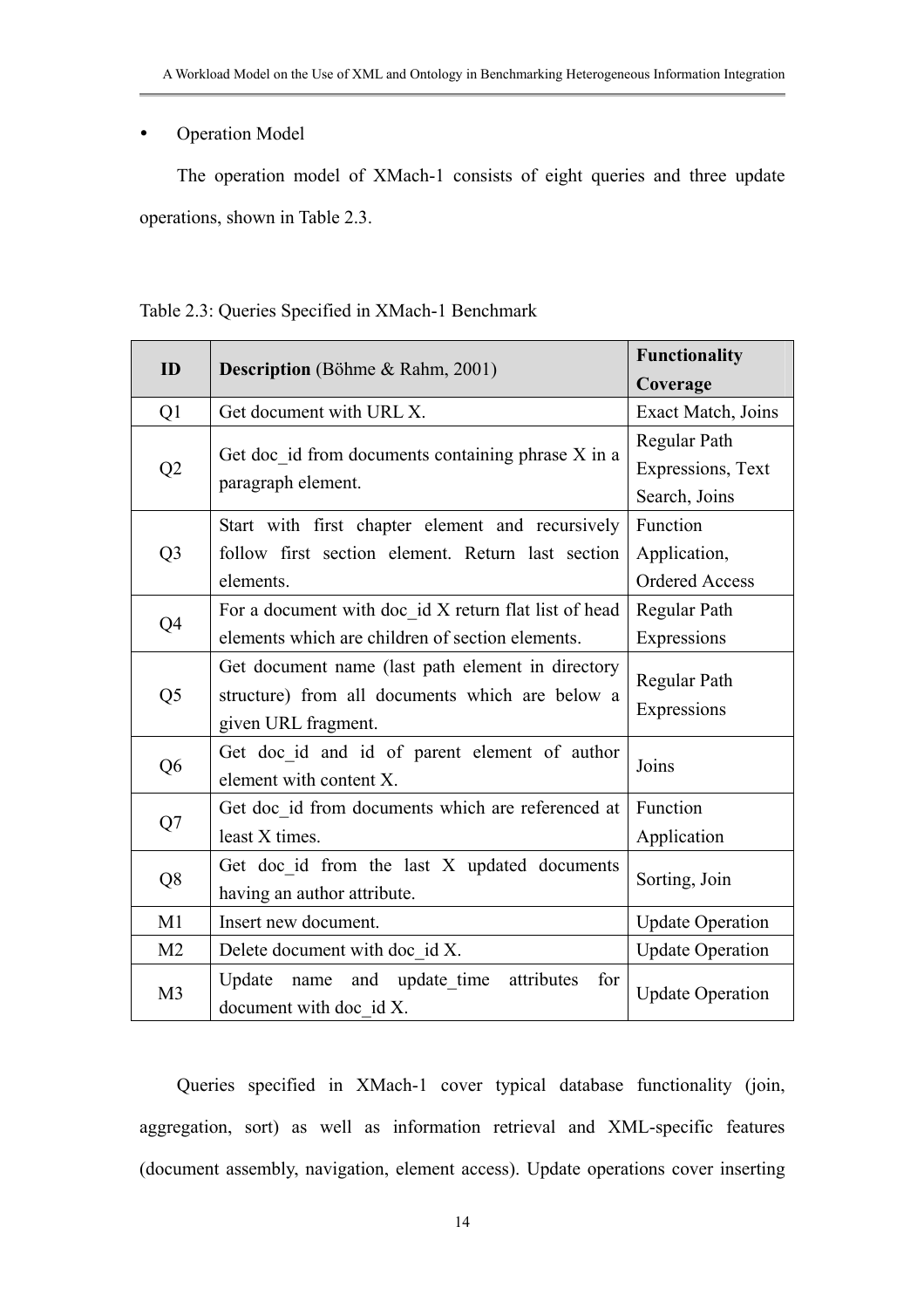#### **Operation Model**

Г

The operation model of XMach-1 consists of eight queries and three update operations, shown in Table 2.3.

| ID             | Description (Böhme & Rahm, 2001)                       | <b>Functionality</b>    |  |
|----------------|--------------------------------------------------------|-------------------------|--|
|                |                                                        | Coverage                |  |
| Q <sub>1</sub> | Get document with URL X.                               | Exact Match, Joins      |  |
|                |                                                        | Regular Path            |  |
| Q2             | Get doc id from documents containing phrase X in a     | Expressions, Text       |  |
|                | paragraph element.                                     | Search, Joins           |  |
|                | Start with first chapter element and recursively       | Function                |  |
| Q <sub>3</sub> | follow first section element. Return last section      | Application,            |  |
|                | elements.                                              | <b>Ordered Access</b>   |  |
| Q4             | For a document with doc id X return flat list of head  | Regular Path            |  |
|                | elements which are children of section elements.       | Expressions             |  |
|                | Get document name (last path element in directory      | Regular Path            |  |
| Q <sub>5</sub> | structure) from all documents which are below a        |                         |  |
|                | given URL fragment.                                    | Expressions             |  |
|                | Get doc_id and id of parent element of author          | Joins                   |  |
| Q <sub>6</sub> | element with content X.                                |                         |  |
|                | Get doc_id from documents which are referenced at      | Function                |  |
| Q7             | least X times.                                         | Application             |  |
| Q <sub>8</sub> | Get doc id from the last X updated documents           |                         |  |
|                | having an author attribute.                            | Sorting, Join           |  |
| M1             | Insert new document.                                   | <b>Update Operation</b> |  |
| M <sub>2</sub> | Delete document with doc_id X.                         | <b>Update Operation</b> |  |
|                | and update time<br>attributes<br>Update<br>for<br>name |                         |  |
| M <sub>3</sub> | document with doc id X.                                | <b>Update Operation</b> |  |

Table 2.3: Queries Specified in XMach-1 Benchmark

Queries specified in XMach-1 cover typical database functionality (join, aggregation, sort) as well as information retrieval and XML-specific features (document assembly, navigation, element access). Update operations cover inserting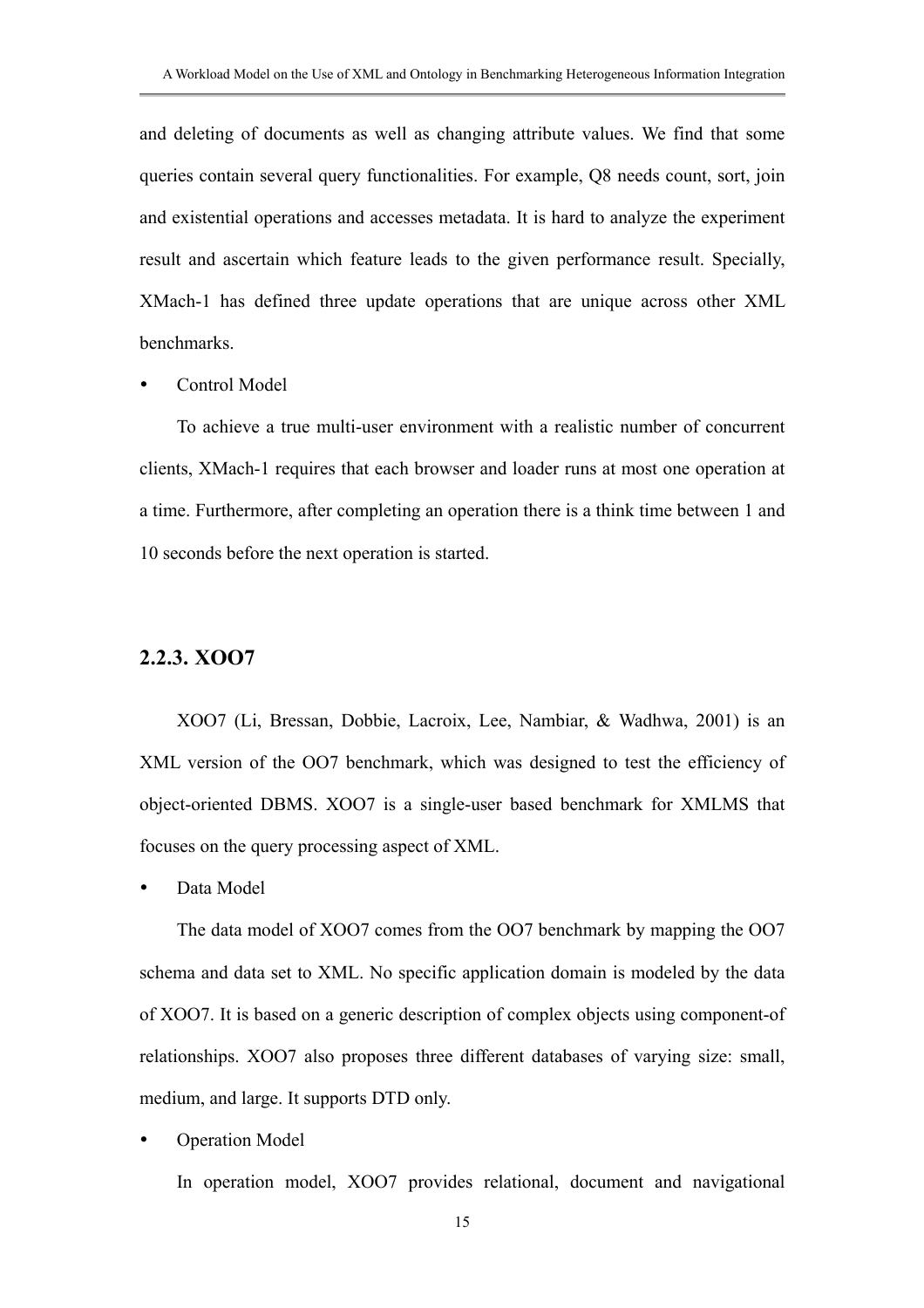and deleting of documents as well as changing attribute values. We find that some queries contain several query functionalities. For example, Q8 needs count, sort, join and existential operations and accesses metadata. It is hard to analyze the experiment result and ascertain which feature leads to the given performance result. Specially, XMach-1 has defined three update operations that are unique across other XML benchmarks.

Control Model

To achieve a true multi-user environment with a realistic number of concurrent clients, XMach-1 requires that each browser and loader runs at most one operation at a time. Furthermore, after completing an operation there is a think time between 1 and 10 seconds before the next operation is started.

#### **2.2.3. XOO7**

XOO7 (Li, Bressan, Dobbie, Lacroix, Lee, Nambiar, & Wadhwa, 2001) is an XML version of the OO7 benchmark, which was designed to test the efficiency of object-oriented DBMS. XOO7 is a single-user based benchmark for XMLMS that focuses on the query processing aspect of XML.

Data Model

The data model of XOO7 comes from the OO7 benchmark by mapping the OO7 schema and data set to XML. No specific application domain is modeled by the data of XOO7. It is based on a generic description of complex objects using component-of relationships. XOO7 also proposes three different databases of varying size: small, medium, and large. It supports DTD only.

**Operation Model** 

In operation model, XOO7 provides relational, document and navigational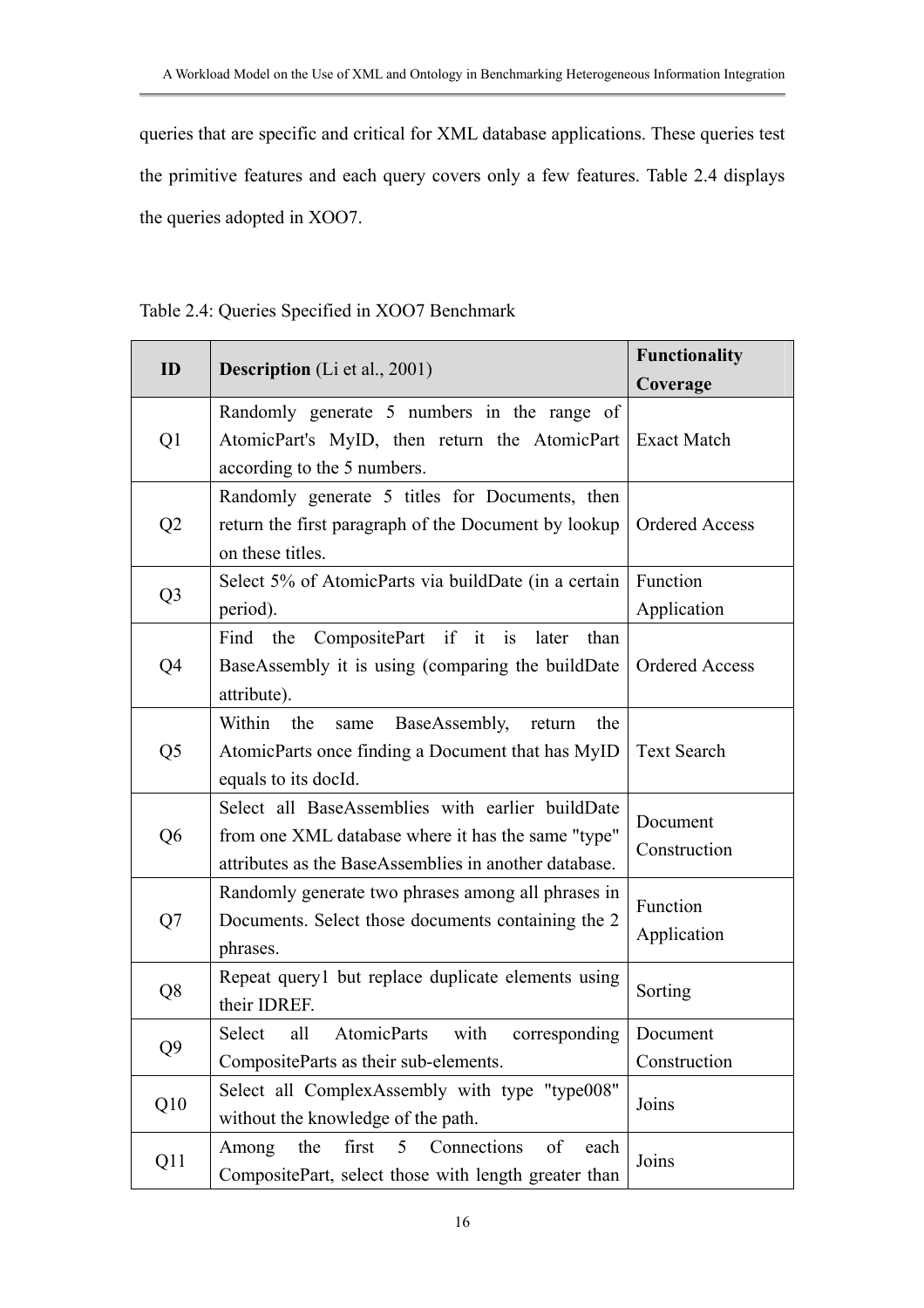queries that are specific and critical for XML database applications. These queries test the primitive features and each query covers only a few features. Table 2.4 displays the queries adopted in XOO7.

| ID              | Description (Li et al., 2001)                                                                                                                                   | <b>Functionality</b><br>Coverage |
|-----------------|-----------------------------------------------------------------------------------------------------------------------------------------------------------------|----------------------------------|
| Q <sub>1</sub>  | Randomly generate 5 numbers in the range of<br>AtomicPart's MyID, then return the AtomicPart Exact Match<br>according to the 5 numbers.                         |                                  |
| Q2              | Randomly generate 5 titles for Documents, then<br>return the first paragraph of the Document by lookup<br>on these titles.                                      | <b>Ordered Access</b>            |
| Q <sub>3</sub>  | Select 5% of AtomicParts via buildDate (in a certain<br>period).                                                                                                | Function<br>Application          |
| Q4              | CompositePart if it is later than<br>Find the<br>BaseAssembly it is using (comparing the buildDate<br>attribute).                                               | Ordered Access                   |
| Q <sub>5</sub>  | Within the<br>BaseAssembly,<br>same<br>the<br>return<br>AtomicParts once finding a Document that has MyID<br>equals to its docId.                               | <b>Text Search</b>               |
| Q <sub>6</sub>  | Select all BaseAssemblies with earlier buildDate<br>from one XML database where it has the same "type"<br>attributes as the BaseAssemblies in another database. | Document<br>Construction         |
| Q7              | Randomly generate two phrases among all phrases in<br>Documents. Select those documents containing the 2<br>phrases.                                            | Function<br>Application          |
| Q8              | Repeat query1 but replace duplicate elements using<br>their IDREF.                                                                                              | Sorting                          |
| Q <sub>9</sub>  | Select all AtomicParts with corresponding Document<br>CompositeParts as their sub-elements.                                                                     | Construction                     |
| Q10             | Select all ComplexAssembly with type "type008"<br>without the knowledge of the path.                                                                            | Joins                            |
| Q <sub>11</sub> | first<br>Connections<br>of<br>the<br>$5\overline{)}$<br>Among<br>each<br>CompositePart, select those with length greater than                                   | Joins                            |

### Table 2.4: Queries Specified in XOO7 Benchmark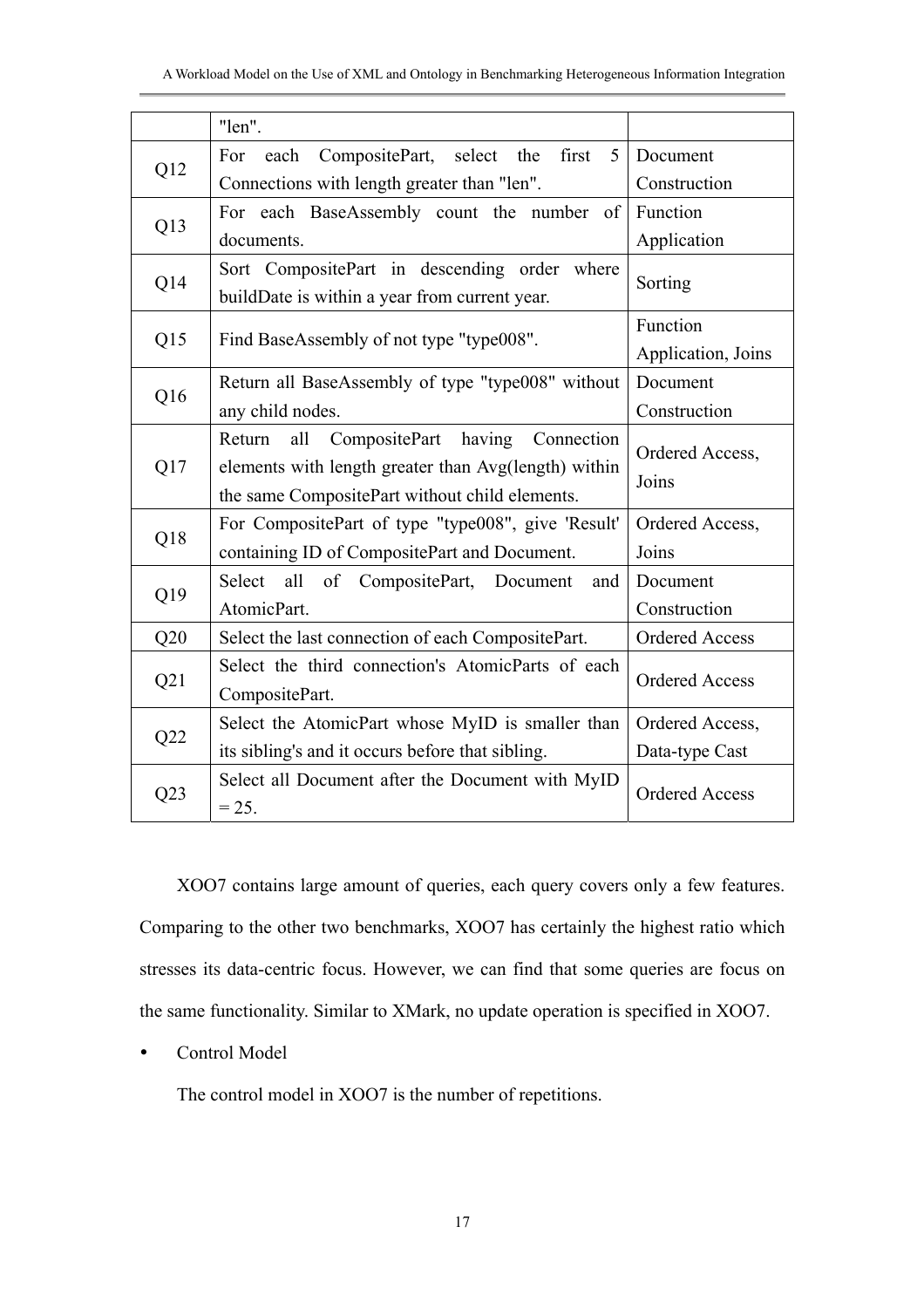|     | "len".                                                                                                                                                        |                          |
|-----|---------------------------------------------------------------------------------------------------------------------------------------------------------------|--------------------------|
|     | CompositePart,<br>select the<br>first<br>5<br>For<br>each                                                                                                     | Document                 |
| Q12 | Connections with length greater than "len".                                                                                                                   | Construction             |
|     | For each BaseAssembly count the number of                                                                                                                     | Function                 |
| Q13 | documents.                                                                                                                                                    | Application              |
| Q14 | Sort CompositePart in descending order where<br>buildDate is within a year from current year.                                                                 | Sorting                  |
| Q15 | Find BaseAssembly of not type "type008".                                                                                                                      | Function                 |
|     |                                                                                                                                                               | Application, Joins       |
| Q16 | Return all BaseAssembly of type "type008" without                                                                                                             | Document                 |
|     | any child nodes.                                                                                                                                              | Construction             |
| Q17 | having Connection<br>Return<br>all<br>CompositePart<br>elements with length greater than Avg(length) within<br>the same CompositePart without child elements. | Ordered Access,<br>Joins |
| Q18 | For CompositePart of type "type008", give 'Result'                                                                                                            | Ordered Access,          |
|     | containing ID of CompositePart and Document.                                                                                                                  | Joins                    |
| Q19 | of CompositePart, Document<br>Select all<br>and                                                                                                               | Document                 |
|     | AtomicPart.                                                                                                                                                   | Construction             |
| Q20 | Select the last connection of each CompositePart.                                                                                                             | <b>Ordered Access</b>    |
| Q21 | Select the third connection's AtomicParts of each<br>CompositePart.                                                                                           | <b>Ordered Access</b>    |
|     | Select the AtomicPart whose MyID is smaller than                                                                                                              | Ordered Access,          |
| Q22 | its sibling's and it occurs before that sibling.                                                                                                              | Data-type Cast           |
| Q23 | Select all Document after the Document with MyID<br>$= 25.$                                                                                                   | <b>Ordered Access</b>    |

XOO7 contains large amount of queries, each query covers only a few features. Comparing to the other two benchmarks, XOO7 has certainly the highest ratio which stresses its data-centric focus. However, we can find that some queries are focus on the same functionality. Similar to XMark, no update operation is specified in XOO7.

### Control Model

The control model in XOO7 is the number of repetitions.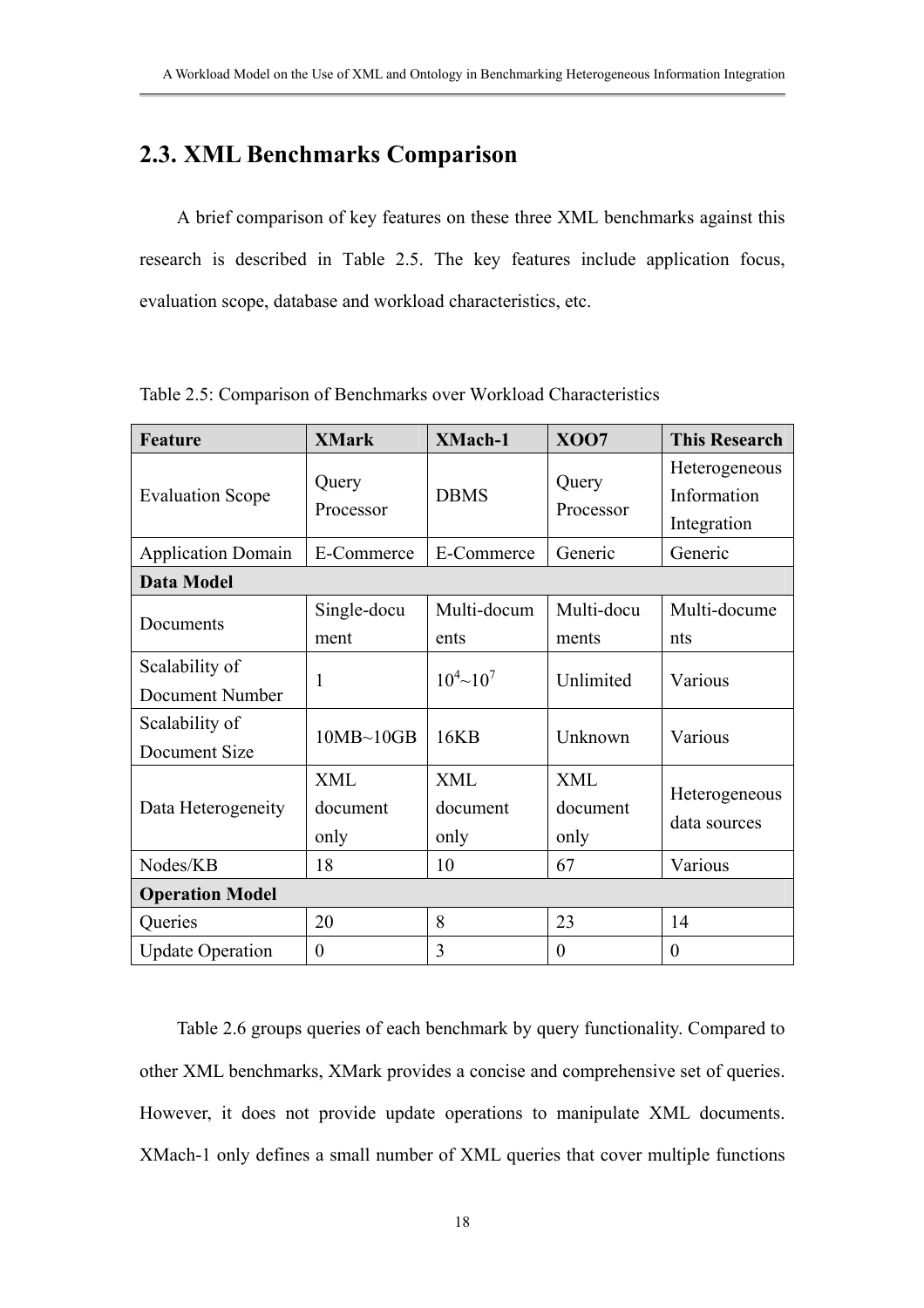# **2.3. XML Benchmarks Comparison**

A brief comparison of key features on these three XML benchmarks against this research is described in Table 2.5. The key features include application focus, evaluation scope, database and workload characteristics, etc.

| Feature                           | <b>XMark</b>                   | <b>XMach-1</b>          | <b>XOO7</b>                    | <b>This Research</b>                        |
|-----------------------------------|--------------------------------|-------------------------|--------------------------------|---------------------------------------------|
| <b>Evaluation Scope</b>           | Query<br>Processor             | <b>DBMS</b>             | Query<br>Processor             | Heterogeneous<br>Information<br>Integration |
| <b>Application Domain</b>         | E-Commerce                     | E-Commerce              | Generic                        | Generic                                     |
| Data Model                        |                                |                         |                                |                                             |
| Documents                         | Single-docu<br>ment            | Multi-docum<br>ents     | Multi-docu<br>ments            | Multi-docume<br>nts                         |
| Scalability of<br>Document Number | 1                              | $10^4$ ~ $10^7$         | Unlimited                      | Various                                     |
| Scalability of<br>Document Size   | 10MB~10GB                      | <b>16KB</b>             | Unknown                        | Various                                     |
| Data Heterogeneity                | <b>XML</b><br>document<br>only | XML<br>document<br>only | <b>XML</b><br>document<br>only | Heterogeneous<br>data sources               |
| Nodes/KB                          | 18                             | 10                      | 67                             | Various                                     |
| <b>Operation Model</b>            |                                |                         |                                |                                             |
| Queries                           | 20                             | 8                       | 23                             | 14                                          |
| <b>Update Operation</b>           | $\theta$                       | 3                       | $\theta$                       | $\theta$                                    |

Table 2.5: Comparison of Benchmarks over Workload Characteristics

Table 2.6 groups queries of each benchmark by query functionality. Compared to other XML benchmarks, XMark provides a concise and comprehensive set of queries. However, it does not provide update operations to manipulate XML documents. XMach-1 only defines a small number of XML queries that cover multiple functions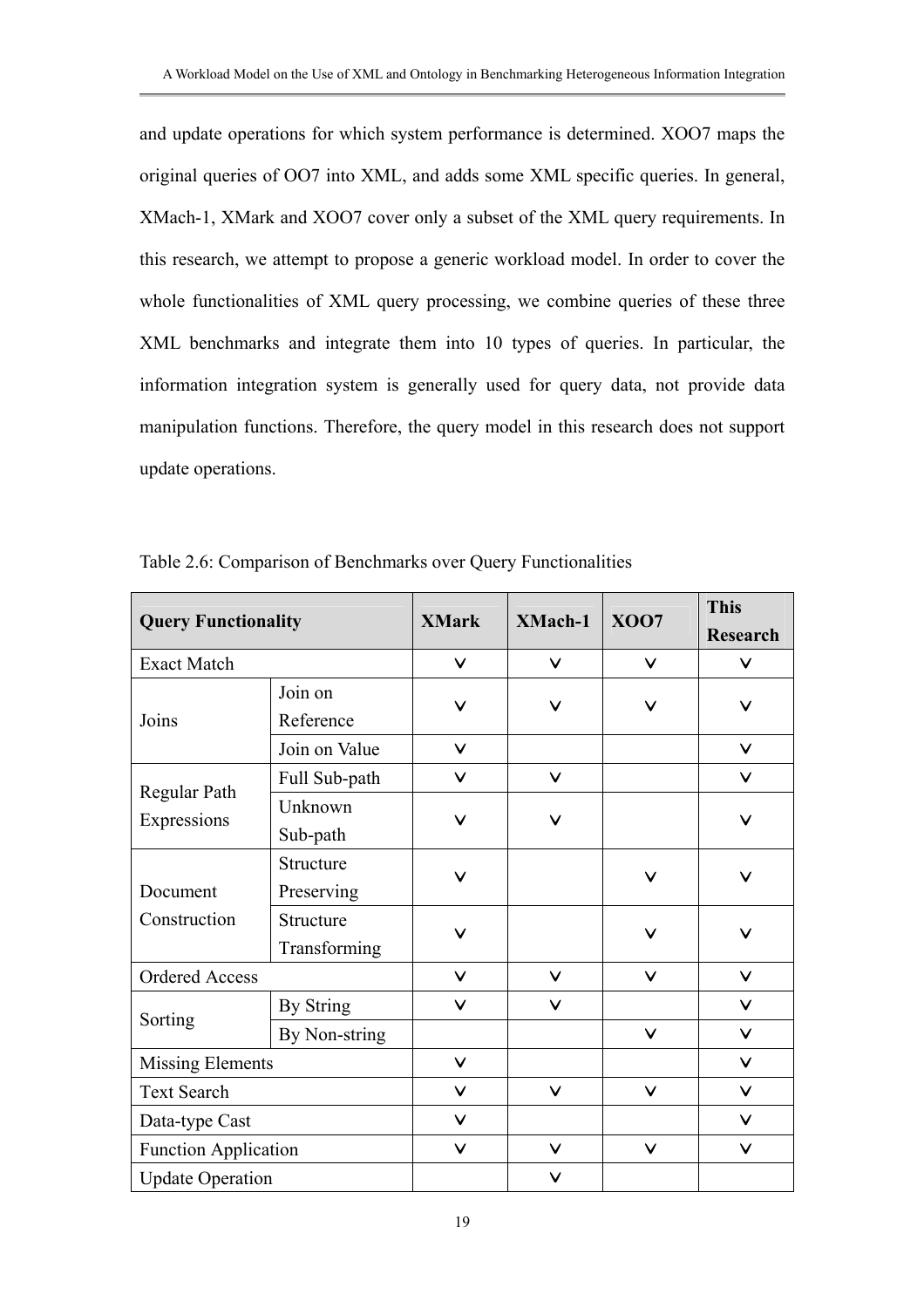and update operations for which system performance is determined. XOO7 maps the original queries of OO7 into XML, and adds some XML specific queries. In general, XMach-1, XMark and XOO7 cover only a subset of the XML query requirements. In this research, we attempt to propose a generic workload model. In order to cover the whole functionalities of XML query processing, we combine queries of these three XML benchmarks and integrate them into 10 types of queries. In particular, the information integration system is generally used for query data, not provide data manipulation functions. Therefore, the query model in this research does not support update operations.

| <b>Query Functionality</b>  | <b>XMark</b>  | <b>XMach-1</b> | <b>XOO7</b>  | <b>This</b>     |              |
|-----------------------------|---------------|----------------|--------------|-----------------|--------------|
|                             |               |                |              | <b>Research</b> |              |
| <b>Exact Match</b>          |               | $\checkmark$   | $\checkmark$ | $\vee$          | $\checkmark$ |
|                             | Join on       | $\checkmark$   | $\checkmark$ | $\checkmark$    | V            |
| Joins                       | Reference     |                |              |                 |              |
|                             | Join on Value | $\checkmark$   |              |                 | $\checkmark$ |
| Regular Path                | Full Sub-path | $\checkmark$   | $\checkmark$ |                 | V            |
| Expressions                 | Unknown       | $\checkmark$   | $\checkmark$ |                 | V            |
|                             | Sub-path      |                |              |                 |              |
|                             | Structure     | $\checkmark$   |              | $\checkmark$    | V            |
| Document                    | Preserving    |                |              |                 |              |
| Construction                | Structure     | V              |              | $\checkmark$    | V            |
|                             | Transforming  |                |              |                 |              |
| <b>Ordered Access</b>       |               | $\checkmark$   | $\checkmark$ | $\checkmark$    | $\checkmark$ |
|                             | By String     | $\checkmark$   | $\checkmark$ |                 | $\checkmark$ |
| Sorting                     | By Non-string |                |              | $\vee$          | $\checkmark$ |
| <b>Missing Elements</b>     |               | $\checkmark$   |              |                 | V            |
| <b>Text Search</b>          |               | $\checkmark$   | $\checkmark$ | $\vee$          | $\vee$       |
| Data-type Cast              |               | $\checkmark$   |              |                 | $\checkmark$ |
| <b>Function Application</b> |               | $\checkmark$   | $\checkmark$ | $\vee$          | $\checkmark$ |
| <b>Update Operation</b>     |               |                | $\checkmark$ |                 |              |

Table 2.6: Comparison of Benchmarks over Query Functionalities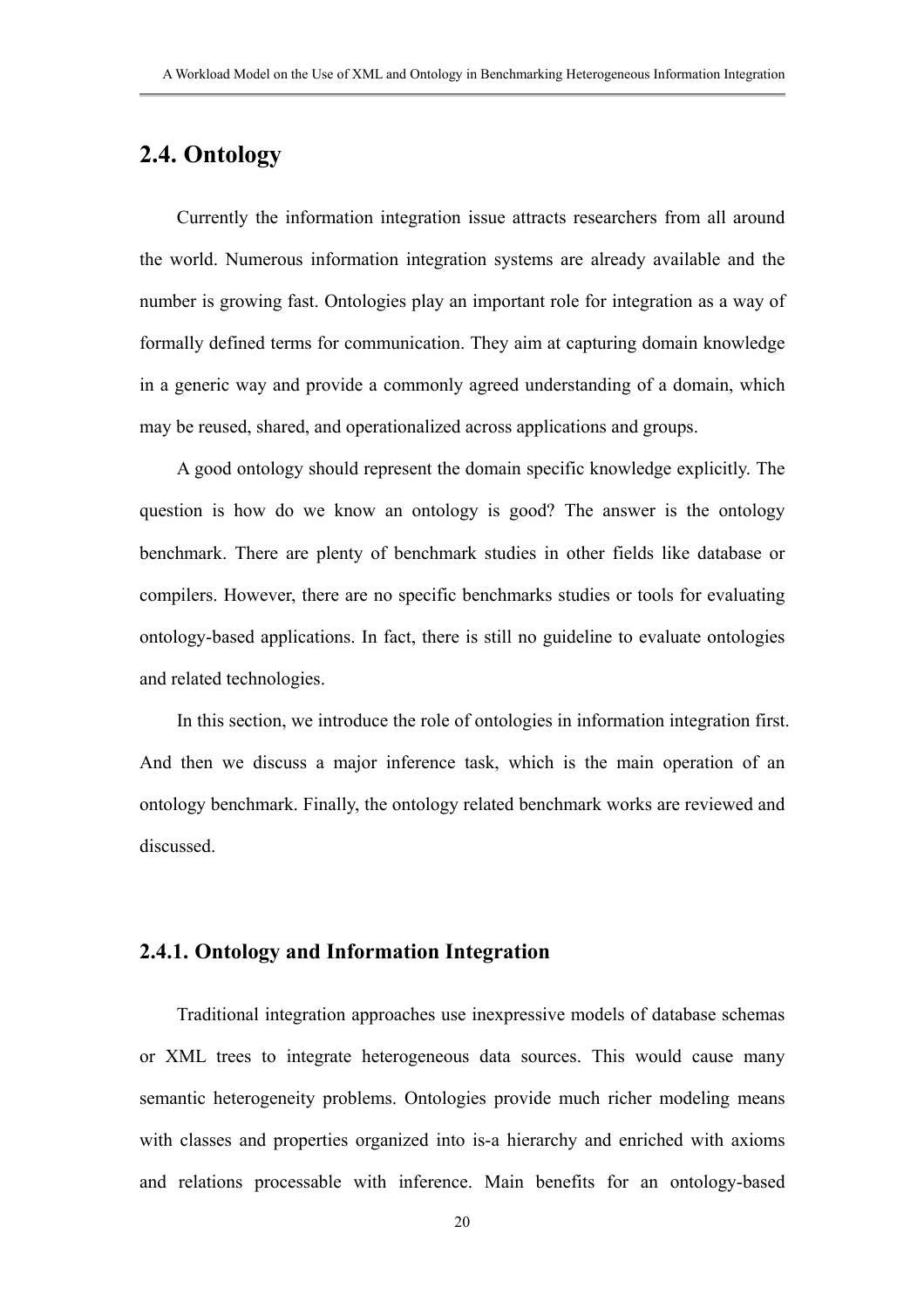## **2.4. Ontology**

Currently the information integration issue attracts researchers from all around the world. Numerous information integration systems are already available and the number is growing fast. Ontologies play an important role for integration as a way of formally defined terms for communication. They aim at capturing domain knowledge in a generic way and provide a commonly agreed understanding of a domain, which may be reused, shared, and operationalized across applications and groups.

A good ontology should represent the domain specific knowledge explicitly. The question is how do we know an ontology is good? The answer is the ontology benchmark. There are plenty of benchmark studies in other fields like database or compilers. However, there are no specific benchmarks studies or tools for evaluating ontology-based applications. In fact, there is still no guideline to evaluate ontologies and related technologies.

In this section, we introduce the role of ontologies in information integration first. And then we discuss a major inference task, which is the main operation of an ontology benchmark. Finally, the ontology related benchmark works are reviewed and discussed.

### **2.4.1. Ontology and Information Integration**

Traditional integration approaches use inexpressive models of database schemas or XML trees to integrate heterogeneous data sources. This would cause many semantic heterogeneity problems. Ontologies provide much richer modeling means with classes and properties organized into is-a hierarchy and enriched with axioms and relations processable with inference. Main benefits for an ontology-based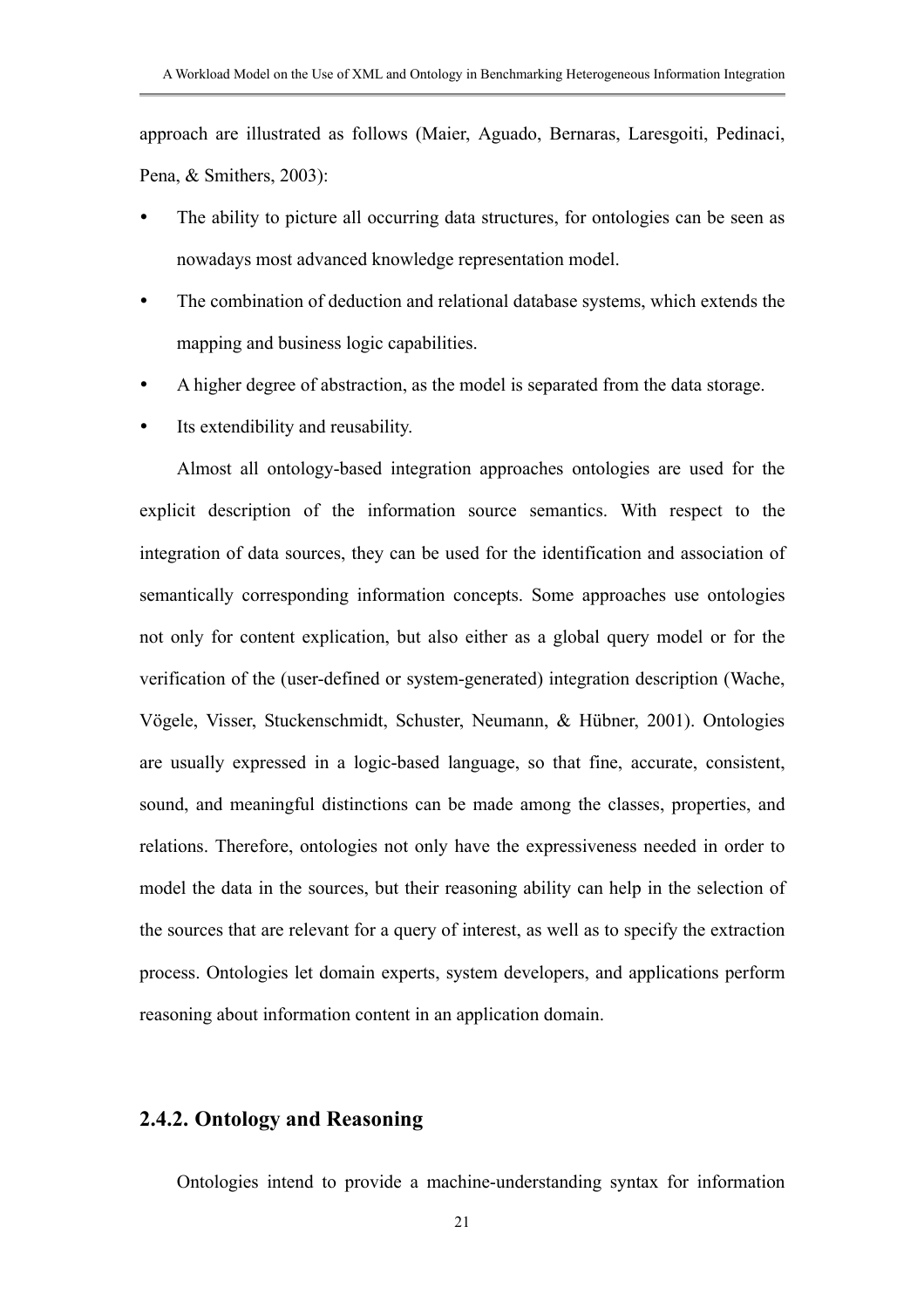approach are illustrated as follows (Maier, Aguado, Bernaras, Laresgoiti, Pedinaci, Pena, & Smithers, 2003):

- The ability to picture all occurring data structures, for ontologies can be seen as nowadays most advanced knowledge representation model.
- The combination of deduction and relational database systems, which extends the mapping and business logic capabilities.
- A higher degree of abstraction, as the model is separated from the data storage.
- Its extendibility and reusability.

Almost all ontology-based integration approaches ontologies are used for the explicit description of the information source semantics. With respect to the integration of data sources, they can be used for the identification and association of semantically corresponding information concepts. Some approaches use ontologies not only for content explication, but also either as a global query model or for the verification of the (user-defined or system-generated) integration description (Wache, Vögele, Visser, Stuckenschmidt, Schuster, Neumann, & Hübner, 2001). Ontologies are usually expressed in a logic-based language, so that fine, accurate, consistent, sound, and meaningful distinctions can be made among the classes, properties, and relations. Therefore, ontologies not only have the expressiveness needed in order to model the data in the sources, but their reasoning ability can help in the selection of the sources that are relevant for a query of interest, as well as to specify the extraction process. Ontologies let domain experts, system developers, and applications perform reasoning about information content in an application domain.

#### **2.4.2. Ontology and Reasoning**

Ontologies intend to provide a machine-understanding syntax for information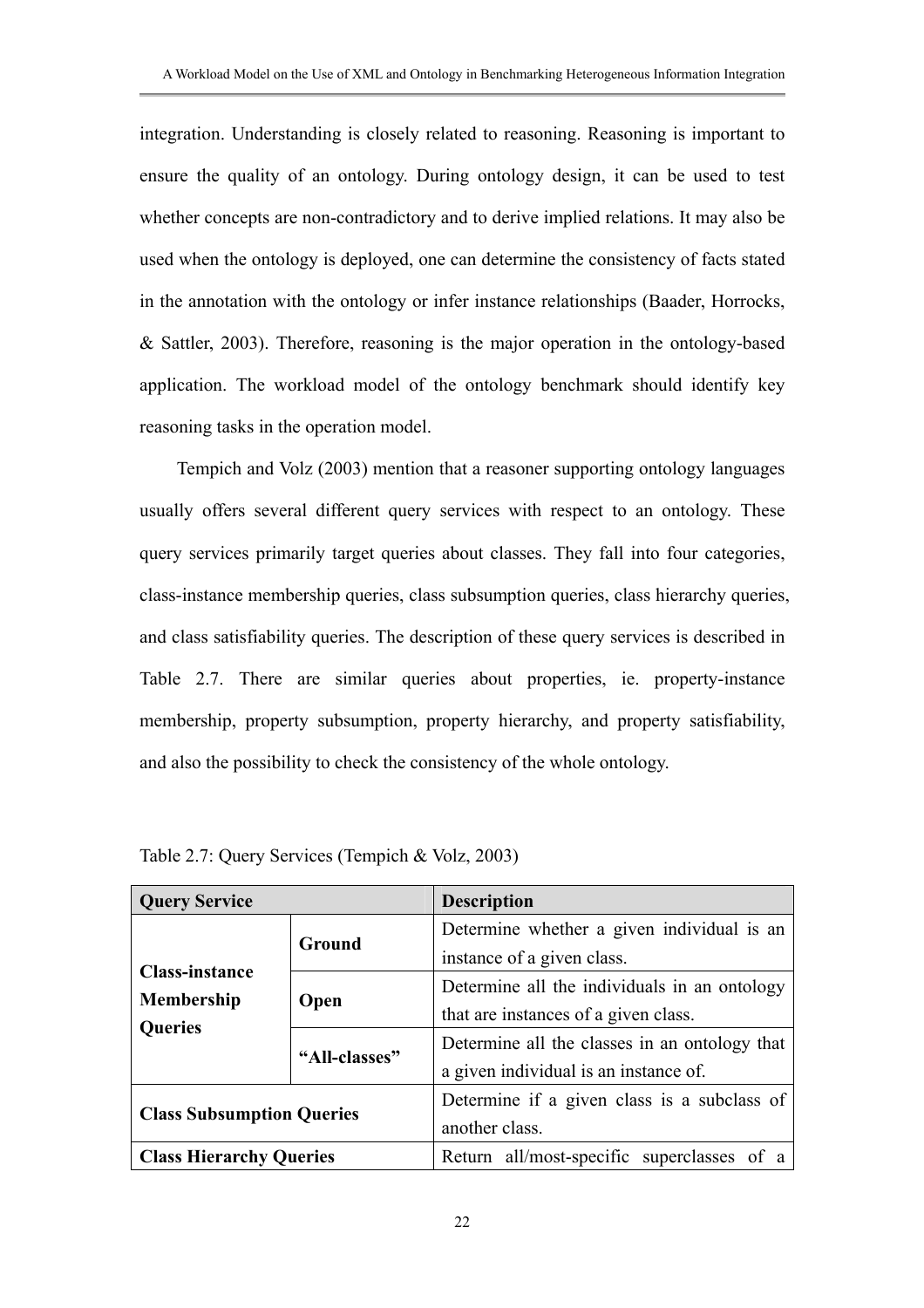integration. Understanding is closely related to reasoning. Reasoning is important to ensure the quality of an ontology. During ontology design, it can be used to test whether concepts are non-contradictory and to derive implied relations. It may also be used when the ontology is deployed, one can determine the consistency of facts stated in the annotation with the ontology or infer instance relationships (Baader, Horrocks, & Sattler, 2003). Therefore, reasoning is the major operation in the ontology-based application. The workload model of the ontology benchmark should identify key reasoning tasks in the operation model.

Tempich and Volz (2003) mention that a reasoner supporting ontology languages usually offers several different query services with respect to an ontology. These query services primarily target queries about classes. They fall into four categories, class-instance membership queries, class subsumption queries, class hierarchy queries, and class satisfiability queries. The description of these query services is described in Table 2.7. There are similar queries about properties, ie. property-instance membership, property subsumption, property hierarchy, and property satisfiability, and also the possibility to check the consistency of the whole ontology.

| <b>Query Service</b>                |                       | <b>Description</b>                            |
|-------------------------------------|-----------------------|-----------------------------------------------|
|                                     | Ground                | Determine whether a given individual is an    |
|                                     |                       | instance of a given class.                    |
| <b>Class-instance</b>               | Open<br>"All-classes" | Determine all the individuals in an ontology  |
| <b>Membership</b><br><b>Queries</b> |                       | that are instances of a given class.          |
|                                     |                       | Determine all the classes in an ontology that |
|                                     |                       | a given individual is an instance of.         |
| <b>Class Subsumption Queries</b>    |                       | Determine if a given class is a subclass of   |
|                                     |                       | another class.                                |
| <b>Class Hierarchy Queries</b>      |                       | Return all/most-specific superclasses of a    |

Table 2.7: Query Services (Tempich & Volz, 2003)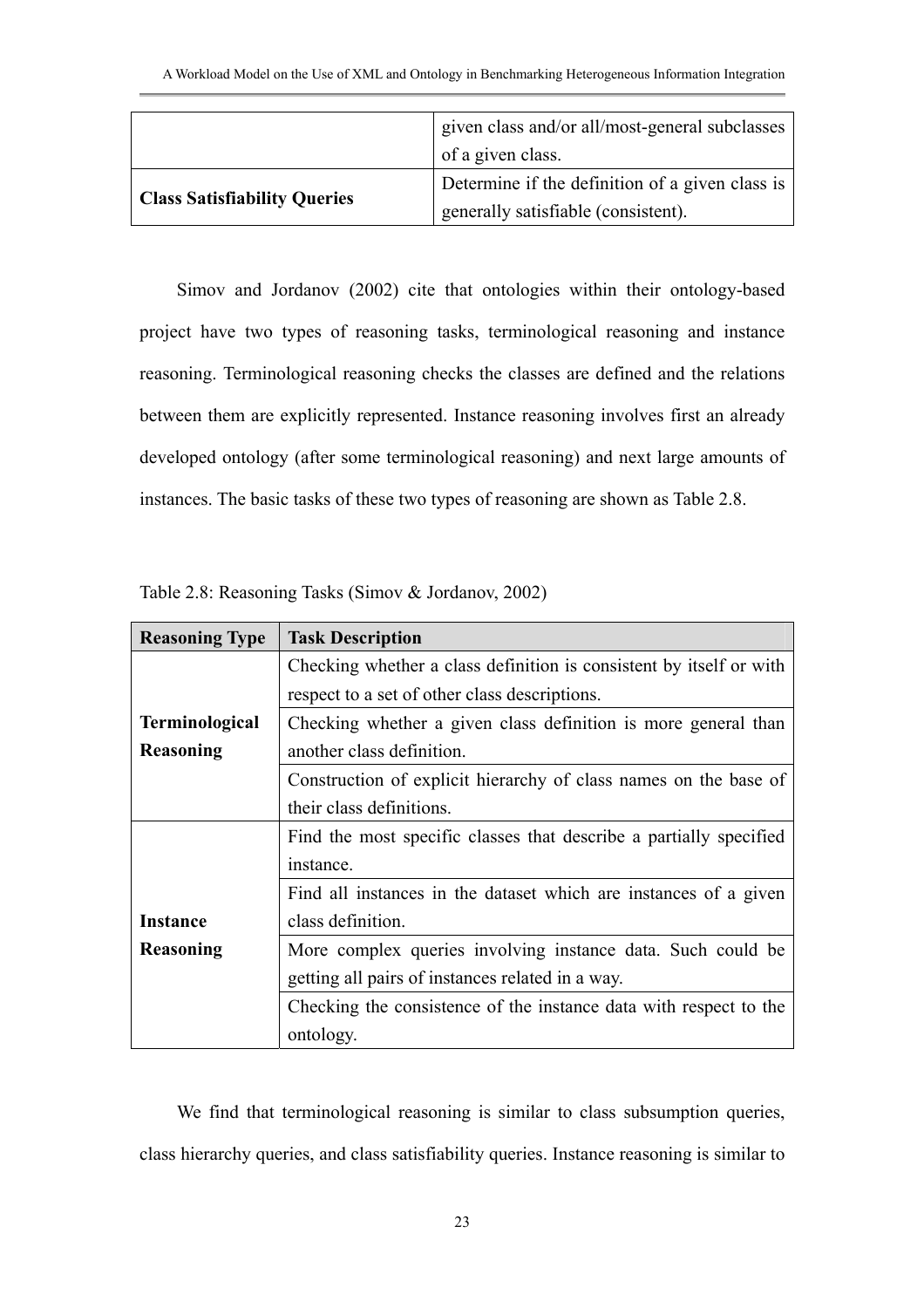|                              | given class and/or all/most-general subclasses<br>of a given class.                    |
|------------------------------|----------------------------------------------------------------------------------------|
| Class Satisfiability Queries | Determine if the definition of a given class is<br>generally satisfiable (consistent). |

Simov and Jordanov (2002) cite that ontologies within their ontology-based project have two types of reasoning tasks, terminological reasoning and instance reasoning. Terminological reasoning checks the classes are defined and the relations between them are explicitly represented. Instance reasoning involves first an already developed ontology (after some terminological reasoning) and next large amounts of instances. The basic tasks of these two types of reasoning are shown as Table 2.8.

| <b>Reasoning Type</b> | <b>Task Description</b>                                             |  |  |
|-----------------------|---------------------------------------------------------------------|--|--|
|                       | Checking whether a class definition is consistent by itself or with |  |  |
|                       | respect to a set of other class descriptions.                       |  |  |
| <b>Terminological</b> | Checking whether a given class definition is more general than      |  |  |
| <b>Reasoning</b>      | another class definition.                                           |  |  |
|                       | Construction of explicit hierarchy of class names on the base of    |  |  |
|                       | their class definitions.                                            |  |  |
|                       | Find the most specific classes that describe a partially specified  |  |  |
|                       | instance.                                                           |  |  |
|                       | Find all instances in the dataset which are instances of a given    |  |  |
| <b>Instance</b>       | class definition.                                                   |  |  |
| Reasoning             | More complex queries involving instance data. Such could be         |  |  |
|                       | getting all pairs of instances related in a way.                    |  |  |
|                       | Checking the consistence of the instance data with respect to the   |  |  |
|                       | ontology.                                                           |  |  |

Table 2.8: Reasoning Tasks (Simov & Jordanov, 2002)

We find that terminological reasoning is similar to class subsumption queries, class hierarchy queries, and class satisfiability queries. Instance reasoning is similar to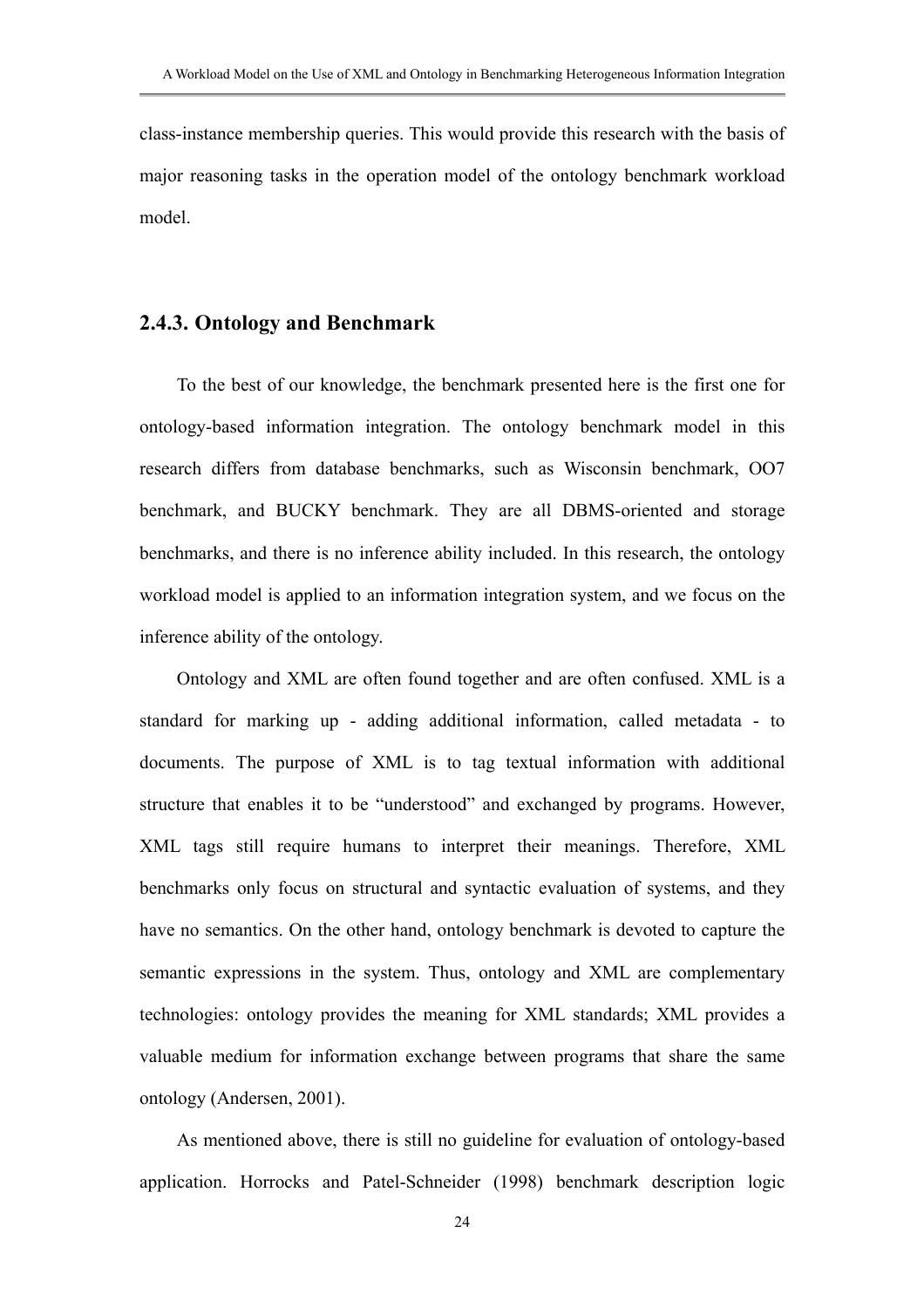class-instance membership queries. This would provide this research with the basis of major reasoning tasks in the operation model of the ontology benchmark workload model.

#### **2.4.3. Ontology and Benchmark**

To the best of our knowledge, the benchmark presented here is the first one for ontology-based information integration. The ontology benchmark model in this research differs from database benchmarks, such as Wisconsin benchmark, OO7 benchmark, and BUCKY benchmark. They are all DBMS-oriented and storage benchmarks, and there is no inference ability included. In this research, the ontology workload model is applied to an information integration system, and we focus on the inference ability of the ontology.

Ontology and XML are often found together and are often confused. XML is a standard for marking up - adding additional information, called metadata - to documents. The purpose of XML is to tag textual information with additional structure that enables it to be "understood" and exchanged by programs. However, XML tags still require humans to interpret their meanings. Therefore, XML benchmarks only focus on structural and syntactic evaluation of systems, and they have no semantics. On the other hand, ontology benchmark is devoted to capture the semantic expressions in the system. Thus, ontology and XML are complementary technologies: ontology provides the meaning for XML standards; XML provides a valuable medium for information exchange between programs that share the same ontology (Andersen, 2001).

As mentioned above, there is still no guideline for evaluation of ontology-based application. Horrocks and Patel-Schneider (1998) benchmark description logic